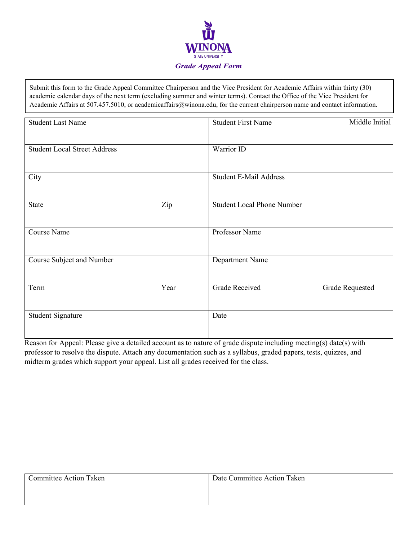

Submit this form to the Grade Appeal Committee Chairperson and the Vice President for Academic Affairs within thirty (30) academic calendar days of the next term (excluding summer and winter terms). Contact the Office of the Vice President for Academic Affairs at 507.457.5010, or academicaffairs@winona.edu, for the current chairperson name and contact information.

| <b>Student Last Name</b>            |      | <b>Student First Name</b>         | Middle Initial         |
|-------------------------------------|------|-----------------------------------|------------------------|
| <b>Student Local Street Address</b> |      | Warrior ID                        |                        |
| City                                |      | <b>Student E-Mail Address</b>     |                        |
|                                     |      |                                   |                        |
| <b>State</b>                        | Zip  | <b>Student Local Phone Number</b> |                        |
| Course Name                         |      | Professor Name                    |                        |
| Course Subject and Number           |      | Department Name                   |                        |
| Term                                | Year | <b>Grade Received</b>             | <b>Grade Requested</b> |
| <b>Student Signature</b>            |      | Date                              |                        |

Reason for Appeal: Please give a detailed account as to nature of grade dispute including meeting(s) date(s) with professor to resolve the dispute. Attach any documentation such as a syllabus, graded papers, tests, quizzes, and midterm grades which support your appeal. List all grades received for the class.

| Committee Action Taken | Date Committee Action Taken |
|------------------------|-----------------------------|
|                        |                             |
|                        |                             |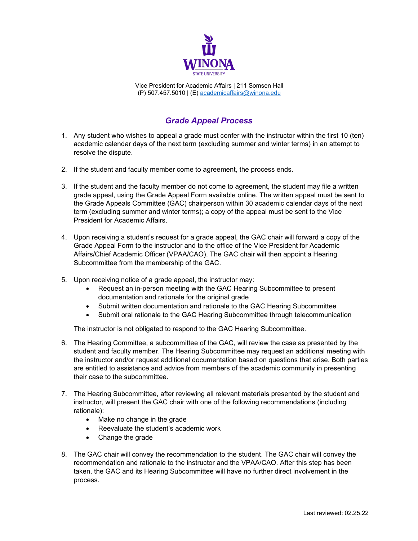

Vice President for Academic Affairs | 211 Somsen Hall (P) 507.457.5010 | (E) [academicaffairs@winona.edu](mailto:academicaffairs@winona.edu)

## *Grade Appeal Process*

- 1. Any student who wishes to appeal a grade must confer with the instructor within the first 10 (ten) academic calendar days of the next term (excluding summer and winter terms) in an attempt to resolve the dispute.
- 2. If the student and faculty member come to agreement, the process ends.
- 3. If the student and the faculty member do not come to agreement, the student may file a written grade appeal, using the Grade Appeal Form available online. The written appeal must be sent to the Grade Appeals Committee (GAC) chairperson within 30 academic calendar days of the next term (excluding summer and winter terms); a copy of the appeal must be sent to the Vice President for Academic Affairs.
- 4. Upon receiving a student's request for a grade appeal, the GAC chair will forward a copy of the Grade Appeal Form to the instructor and to the office of the Vice President for Academic Affairs/Chief Academic Officer (VPAA/CAO). The GAC chair will then appoint a Hearing Subcommittee from the membership of the GAC.
- 5. Upon receiving notice of a grade appeal, the instructor may:
	- Request an in-person meeting with the GAC Hearing Subcommittee to present documentation and rationale for the original grade
	- Submit written documentation and rationale to the GAC Hearing Subcommittee
	- Submit oral rationale to the GAC Hearing Subcommittee through telecommunication

The instructor is not obligated to respond to the GAC Hearing Subcommittee.

- 6. The Hearing Committee, a subcommittee of the GAC, will review the case as presented by the student and faculty member. The Hearing Subcommittee may request an additional meeting with the instructor and/or request additional documentation based on questions that arise. Both parties are entitled to assistance and advice from members of the academic community in presenting their case to the subcommittee.
- 7. The Hearing Subcommittee, after reviewing all relevant materials presented by the student and instructor, will present the GAC chair with one of the following recommendations (including rationale):
	- Make no change in the grade
	- Reevaluate the student's academic work
	- Change the grade
- 8. The GAC chair will convey the recommendation to the student. The GAC chair will convey the recommendation and rationale to the instructor and the VPAA/CAO. After this step has been taken, the GAC and its Hearing Subcommittee will have no further direct involvement in the process.